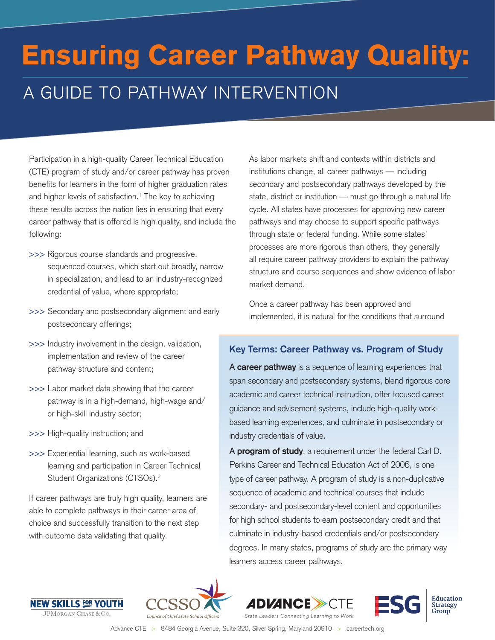# A GUIDE TO PATHWAY INTERVENTION Ensuring Career Pathway Quality:

Participation in a high-quality Career Technical Education (CTE) program of study and/or career pathway has proven benefits for learners in the form of higher graduation rates and higher levels of satisfaction.<sup>1</sup> The key to achieving these results across the nation lies in ensuring that every career pathway that is offered is high quality, and include the following:

- >>> Rigorous course standards and progressive, sequenced courses, which start out broadly, narrow in specialization, and lead to an industry-recognized credential of value, where appropriate;
- >>> Secondary and postsecondary alignment and early postsecondary offerings;
- >>> Industry involvement in the design, validation, implementation and review of the career pathway structure and content;
- >>> Labor market data showing that the career pathway is in a high-demand, high-wage and/ or high-skill industry sector;
- >>> High-quality instruction; and
- >>> Experiential learning, such as work-based learning and participation in Career Technical Student Organizations (CTSOs).2

If career pathways are truly high quality, learners are able to complete pathways in their career area of choice and successfully transition to the next step with outcome data validating that quality.

As labor markets shift and contexts within districts and institutions change, all career pathways — including secondary and postsecondary pathways developed by the state, district or institution — must go through a natural life cycle. All states have processes for approving new career pathways and may choose to support specific pathways through state or federal funding. While some states' processes are more rigorous than others, they generally all require career pathway providers to explain the pathway structure and course sequences and show evidence of labor market demand.

Once a career pathway has been approved and implemented, it is natural for the conditions that surround

# **Key Terms: Career Pathway vs. Program of Study**

A **career pathway** is a sequence of learning experiences that span secondary and postsecondary systems, blend rigorous core academic and career technical instruction, offer focused career guidance and advisement systems, include high-quality workbased learning experiences, and culminate in postsecondary or industry credentials of value.

A **program of study**, a requirement under the federal Carl D. Perkins Career and Technical Education Act of 2006, is one type of career pathway. A program of study is a non-duplicative sequence of academic and technical courses that include secondary- and postsecondary-level content and opportunities for high school students to earn postsecondary credit and that culminate in industry-based credentials and/or postsecondary degrees. In many states, programs of study are the primary way learners access career pathways.







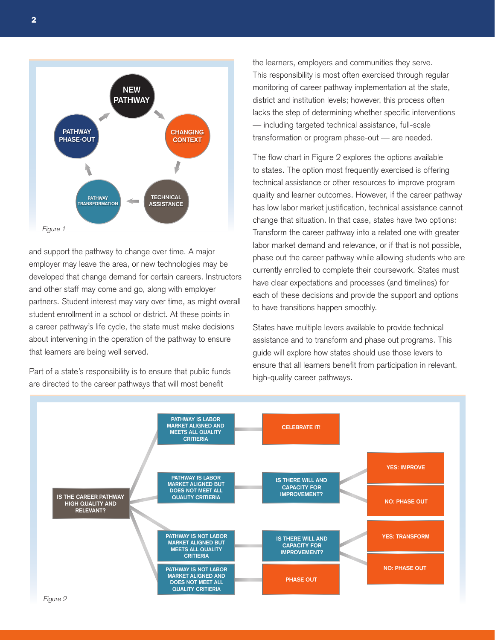

and support the pathway to change over time. A major employer may leave the area, or new technologies may be developed that change demand for certain careers. Instructors and other staff may come and go, along with employer partners. Student interest may vary over time, as might overall student enrollment in a school or district. At these points in a career pathway's life cycle, the state must make decisions about intervening in the operation of the pathway to ensure that learners are being well served.

Part of a state's responsibility is to ensure that public funds are directed to the career pathways that will most benefit

the learners, employers and communities they serve. This responsibility is most often exercised through regular monitoring of career pathway implementation at the state, district and institution levels; however, this process often lacks the step of determining whether specific interventions — including targeted technical assistance, full-scale transformation or program phase-out — are needed.

The flow chart in Figure 2 explores the options available to states. The option most frequently exercised is offering technical assistance or other resources to improve program quality and learner outcomes. However, if the career pathway has low labor market justification, technical assistance cannot change that situation. In that case, states have two options: Transform the career pathway into a related one with greater labor market demand and relevance, or if that is not possible, phase out the career pathway while allowing students who are currently enrolled to complete their coursework. States must have clear expectations and processes (and timelines) for each of these decisions and provide the support and options to have transitions happen smoothly.

States have multiple levers available to provide technical assistance and to transform and phase out programs. This guide will explore how states should use those levers to ensure that all learners benefit from participation in relevant, high-quality career pathways.

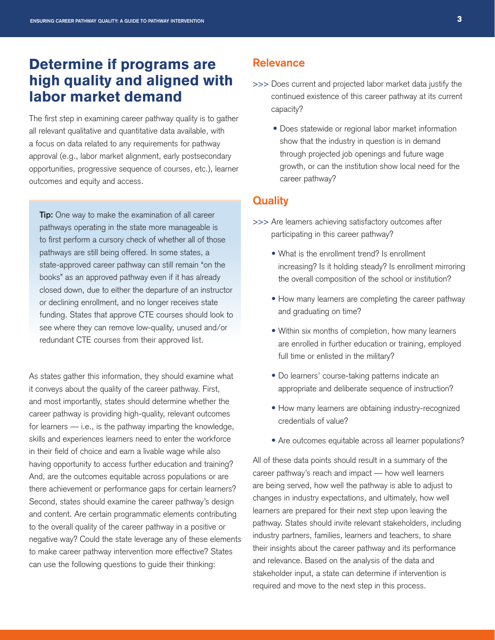# Determine if programs are high quality and aligned with labor market demand

The first step in examining career pathway quality is to gather all relevant qualitative and quantitative data available, with a focus on data related to any requirements for pathway approval (e.g., labor market alignment, early postsecondary opportunities, progressive sequence of courses, etc.), learner outcomes and equity and access.

**Tip:** One way to make the examination of all career pathways operating in the state more manageable is to first perform a cursory check of whether all of those pathways are still being offered. In some states, a state-approved career pathway can still remain "on the books" as an approved pathway even if it has already closed down, due to either the departure of an instructor or declining enrollment, and no longer receives state funding. States that approve CTE courses should look to see where they can remove low-quality, unused and/or redundant CTE courses from their approved list.

As states gather this information, they should examine what it conveys about the quality of the career pathway. First, and most importantly, states should determine whether the career pathway is providing high-quality, relevant outcomes for learners — i.e., is the pathway imparting the knowledge, skills and experiences learners need to enter the workforce in their field of choice and earn a livable wage while also having opportunity to access further education and training? And, are the outcomes equitable across populations or are there achievement or performance gaps for certain learners? Second, states should examine the career pathway's design and content. Are certain programmatic elements contributing to the overall quality of the career pathway in a positive or negative way? Could the state leverage any of these elements to make career pathway intervention more effective? States can use the following questions to guide their thinking:

## **Relevance**

- >>> Does current and projected labor market data justify the continued existence of this career pathway at its current capacity?
	- Does statewide or regional labor market information show that the industry in question is in demand through projected job openings and future wage growth, or can the institution show local need for the career pathway?

## **Quality**

- >>> Are learners achieving satisfactory outcomes after participating in this career pathway?
	- What is the enrollment trend? Is enrollment increasing? Is it holding steady? Is enrollment mirroring the overall composition of the school or institution?
	- How many learners are completing the career pathway and graduating on time?
	- Within six months of completion, how many learners are enrolled in further education or training, employed full time or enlisted in the military?
	- Do learners' course-taking patterns indicate an appropriate and deliberate sequence of instruction?
	- How many learners are obtaining industry-recognized credentials of value?
	- Are outcomes equitable across all learner populations?

All of these data points should result in a summary of the career pathway's reach and impact — how well learners are being served, how well the pathway is able to adjust to changes in industry expectations, and ultimately, how well learners are prepared for their next step upon leaving the pathway. States should invite relevant stakeholders, including industry partners, families, learners and teachers, to share their insights about the career pathway and its performance and relevance. Based on the analysis of the data and stakeholder input, a state can determine if intervention is required and move to the next step in this process.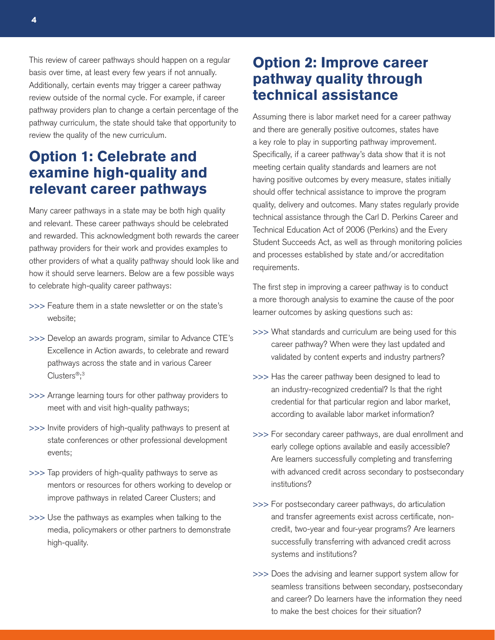This review of career pathways should happen on a regular basis over time, at least every few years if not annually. Additionally, certain events may trigger a career pathway review outside of the normal cycle. For example, if career pathway providers plan to change a certain percentage of the pathway curriculum, the state should take that opportunity to review the quality of the new curriculum.

# Option 1: Celebrate and examine high-quality and relevant career pathways

Many career pathways in a state may be both high quality and relevant. These career pathways should be celebrated and rewarded. This acknowledgment both rewards the career pathway providers for their work and provides examples to other providers of what a quality pathway should look like and how it should serve learners. Below are a few possible ways to celebrate high-quality career pathways:

- >>> Feature them in a state newsletter or on the state's website;
- >>> Develop an awards program, similar to Advance CTE's Excellence in Action awards, to celebrate and reward pathways across the state and in various Career Clusters®; 3
- >>> Arrange learning tours for other pathway providers to meet with and visit high-quality pathways;
- >>> Invite providers of high-quality pathways to present at state conferences or other professional development events;
- >>> Tap providers of high-quality pathways to serve as mentors or resources for others working to develop or improve pathways in related Career Clusters; and
- >>> Use the pathways as examples when talking to the media, policymakers or other partners to demonstrate high-quality.

# Option 2: Improve career pathway quality through technical assistance

Assuming there is labor market need for a career pathway and there are generally positive outcomes, states have a key role to play in supporting pathway improvement. Specifically, if a career pathway's data show that it is not meeting certain quality standards and learners are not having positive outcomes by every measure, states initially should offer technical assistance to improve the program quality, delivery and outcomes. Many states regularly provide technical assistance through the Carl D. Perkins Career and Technical Education Act of 2006 (Perkins) and the Every Student Succeeds Act, as well as through monitoring policies and processes established by state and/or accreditation requirements.

The first step in improving a career pathway is to conduct a more thorough analysis to examine the cause of the poor learner outcomes by asking questions such as:

- >>> What standards and curriculum are being used for this career pathway? When were they last updated and validated by content experts and industry partners?
- >>> Has the career pathway been designed to lead to an industry-recognized credential? Is that the right credential for that particular region and labor market, according to available labor market information?
- >>> For secondary career pathways, are dual enrollment and early college options available and easily accessible? Are learners successfully completing and transferring with advanced credit across secondary to postsecondary institutions?
- >>> For postsecondary career pathways, do articulation and transfer agreements exist across certificate, noncredit, two-year and four-year programs? Are learners successfully transferring with advanced credit across systems and institutions?
- >>> Does the advising and learner support system allow for seamless transitions between secondary, postsecondary and career? Do learners have the information they need to make the best choices for their situation?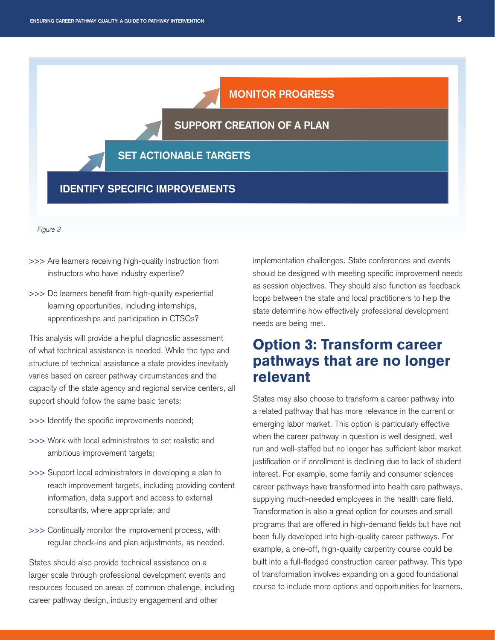# **MONITOR PROGRESS**

## **SUPPORT CREATION OF A PLAN**

## **SET ACTIONABLE TARGETS**

## **IDENTIFY SPECIFIC IMPROVEMENTS**

Figure 3

- >>> Are learners receiving high-quality instruction from instructors who have industry expertise?
- >>> Do learners benefit from high-quality experiential learning opportunities, including internships, apprenticeships and participation in CTSOs?

This analysis will provide a helpful diagnostic assessment of what technical assistance is needed. While the type and structure of technical assistance a state provides inevitably varies based on career pathway circumstances and the capacity of the state agency and regional service centers, all support should follow the same basic tenets:

- >>> Identify the specific improvements needed;
- >>> Work with local administrators to set realistic and ambitious improvement targets;
- >>> Support local administrators in developing a plan to reach improvement targets, including providing content information, data support and access to external consultants, where appropriate; and
- >>> Continually monitor the improvement process, with regular check-ins and plan adjustments, as needed.

States should also provide technical assistance on a larger scale through professional development events and resources focused on areas of common challenge, including career pathway design, industry engagement and other

implementation challenges. State conferences and events should be designed with meeting specific improvement needs as session objectives. They should also function as feedback loops between the state and local practitioners to help the state determine how effectively professional development needs are being met.

# Option 3: Transform career pathways that are no longer relevant

States may also choose to transform a career pathway into a related pathway that has more relevance in the current or emerging labor market. This option is particularly effective when the career pathway in question is well designed, well run and well-staffed but no longer has sufficient labor market justification or if enrollment is declining due to lack of student interest. For example, some family and consumer sciences career pathways have transformed into health care pathways, supplying much-needed employees in the health care field. Transformation is also a great option for courses and small programs that are offered in high-demand fields but have not been fully developed into high-quality career pathways. For example, a one-off, high-quality carpentry course could be built into a full-fledged construction career pathway. This type of transformation involves expanding on a good foundational course to include more options and opportunities for learners.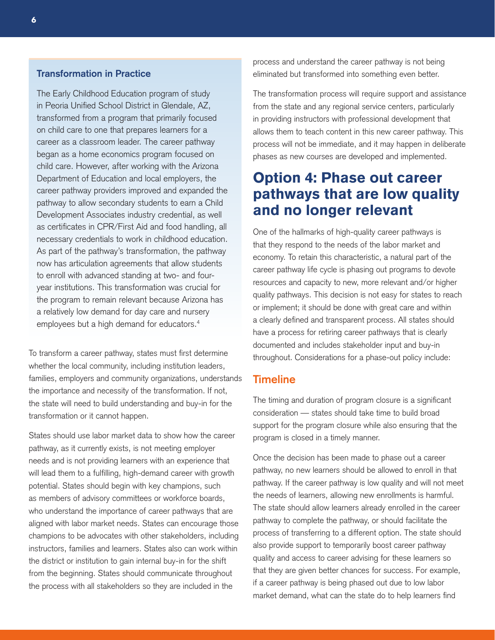#### **Transformation in Practice**

The Early Childhood Education program of study in Peoria Unified School District in Glendale, AZ, transformed from a program that primarily focused on child care to one that prepares learners for a career as a classroom leader. The career pathway began as a home economics program focused on child care. However, after working with the Arizona Department of Education and local employers, the career pathway providers improved and expanded the pathway to allow secondary students to earn a Child Development Associates industry credential, as well as certificates in CPR/First Aid and food handling, all necessary credentials to work in childhood education. As part of the pathway's transformation, the pathway now has articulation agreements that allow students to enroll with advanced standing at two- and fouryear institutions. This transformation was crucial for the program to remain relevant because Arizona has a relatively low demand for day care and nursery employees but a high demand for educators.<sup>4</sup>

To transform a career pathway, states must first determine whether the local community, including institution leaders, families, employers and community organizations, understands the importance and necessity of the transformation. If not, the state will need to build understanding and buy-in for the transformation or it cannot happen.

States should use labor market data to show how the career pathway, as it currently exists, is not meeting employer needs and is not providing learners with an experience that will lead them to a fulfilling, high-demand career with growth potential. States should begin with key champions, such as members of advisory committees or workforce boards, who understand the importance of career pathways that are aligned with labor market needs. States can encourage those champions to be advocates with other stakeholders, including instructors, families and learners. States also can work within the district or institution to gain internal buy-in for the shift from the beginning. States should communicate throughout the process with all stakeholders so they are included in the

process and understand the career pathway is not being eliminated but transformed into something even better.

The transformation process will require support and assistance from the state and any regional service centers, particularly in providing instructors with professional development that allows them to teach content in this new career pathway. This process will not be immediate, and it may happen in deliberate phases as new courses are developed and implemented.

# Option 4: Phase out career pathways that are low quality and no longer relevant

One of the hallmarks of high-quality career pathways is that they respond to the needs of the labor market and economy. To retain this characteristic, a natural part of the career pathway life cycle is phasing out programs to devote resources and capacity to new, more relevant and/or higher quality pathways. This decision is not easy for states to reach or implement; it should be done with great care and within a clearly defined and transparent process. All states should have a process for retiring career pathways that is clearly documented and includes stakeholder input and buy-in throughout. Considerations for a phase-out policy include:

# **Timeline**

The timing and duration of program closure is a significant consideration — states should take time to build broad support for the program closure while also ensuring that the program is closed in a timely manner.

Once the decision has been made to phase out a career pathway, no new learners should be allowed to enroll in that pathway. If the career pathway is low quality and will not meet the needs of learners, allowing new enrollments is harmful. The state should allow learners already enrolled in the career pathway to complete the pathway, or should facilitate the process of transferring to a different option. The state should also provide support to temporarily boost career pathway quality and access to career advising for these learners so that they are given better chances for success. For example, if a career pathway is being phased out due to low labor market demand, what can the state do to help learners find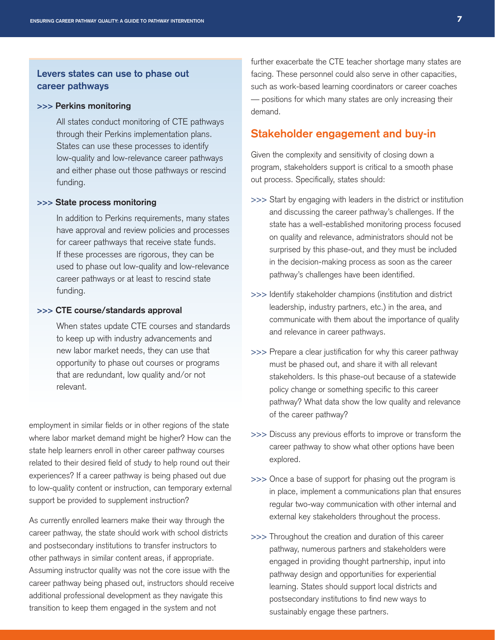## **Levers states can use to phase out career pathways**

#### **>>> Perkins monitoring**

All states conduct monitoring of CTE pathways through their Perkins implementation plans. States can use these processes to identify low-quality and low-relevance career pathways and either phase out those pathways or rescind funding.

#### **>>> State process monitoring**

In addition to Perkins requirements, many states have approval and review policies and processes for career pathways that receive state funds. If these processes are rigorous, they can be used to phase out low-quality and low-relevance career pathways or at least to rescind state funding.

#### **>>> CTE course/standards approval**

When states update CTE courses and standards to keep up with industry advancements and new labor market needs, they can use that opportunity to phase out courses or programs that are redundant, low quality and/or not relevant.

employment in similar fields or in other regions of the state where labor market demand might be higher? How can the state help learners enroll in other career pathway courses related to their desired field of study to help round out their experiences? If a career pathway is being phased out due to low-quality content or instruction, can temporary external support be provided to supplement instruction?

As currently enrolled learners make their way through the career pathway, the state should work with school districts and postsecondary institutions to transfer instructors to other pathways in similar content areas, if appropriate. Assuming instructor quality was not the core issue with the career pathway being phased out, instructors should receive additional professional development as they navigate this transition to keep them engaged in the system and not

further exacerbate the CTE teacher shortage many states are facing. These personnel could also serve in other capacities, such as work-based learning coordinators or career coaches — positions for which many states are only increasing their demand.

### **Stakeholder engagement and buy-in**

Given the complexity and sensitivity of closing down a program, stakeholders support is critical to a smooth phase out process. Specifically, states should:

- >>> Start by engaging with leaders in the district or institution and discussing the career pathway's challenges. If the state has a well-established monitoring process focused on quality and relevance, administrators should not be surprised by this phase-out, and they must be included in the decision-making process as soon as the career pathway's challenges have been identified.
- >>> Identify stakeholder champions (institution and district leadership, industry partners, etc.) in the area, and communicate with them about the importance of quality and relevance in career pathways.
- >>> Prepare a clear justification for why this career pathway must be phased out, and share it with all relevant stakeholders. Is this phase-out because of a statewide policy change or something specific to this career pathway? What data show the low quality and relevance of the career pathway?
- >>> Discuss any previous efforts to improve or transform the career pathway to show what other options have been explored.
- >>> Once a base of support for phasing out the program is in place, implement a communications plan that ensures regular two-way communication with other internal and external key stakeholders throughout the process.
- >>> Throughout the creation and duration of this career pathway, numerous partners and stakeholders were engaged in providing thought partnership, input into pathway design and opportunities for experiential learning. States should support local districts and postsecondary institutions to find new ways to sustainably engage these partners.